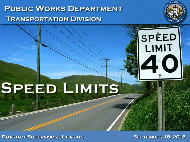## **PUBLIC WORKS DEPARTMENT TRANSPORTATION DIVISION**





**BOARD OF SUPERVISORS HEARING SEPTEMBER 18, 2018**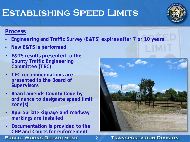## **Establishing Speed Limits**

### **Process**

• **Engineering and Traffic Survey (E&TS) expires after 7 or 10 years**

2

- **New E&TS is performed**
- **E&TS results presented to the County Traffic Engineering Committee (TEC)**
- **TEC recommendations are presented to the Board of Supervisors**
- **Board amends County Code by ordinance to designate speed limit zone(s)**
- **Appropriate signage and roadway markings are installed**
- **Documentation is provided to the CHP and Courts for enforcement**

**PUBLIC WORKS DEPARTMENT** 

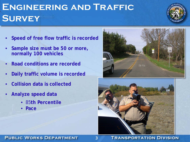## **Engineering and Traffic Survey**

- **Speed of free flow traffic is recorded**
- **Sample size must be 50 or more, normally 100 vehicles**
- **Road conditions are recorded**
- **Daily traffic volume is recorded**
- **Collision data is collected**
- **Analyze speed data**
	- 85**th Percentile**
	- **Pace**





#### **PUBLIC WORKS DEPARTMENT**

#### **TRANSPORTATION DIVISION**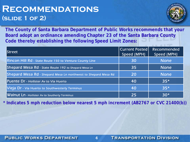## **Recommendations (slide 1 of 2)**



**The County of Santa Barbara Department of Public Works recommends that your Board adopt an ordinance amending Chapter 23 of the Santa Barbara County Code thereby establishing the following Speed Limit Zones:**

| lStreet                                                        | <b>Current Posted</b><br>Speed (MPH) | Recommended<br>Speed (MPH) |
|----------------------------------------------------------------|--------------------------------------|----------------------------|
| <b>Rincon Hill Rd</b> - State Route 150 to Ventura County Line | 30                                   | None                       |
| Shepard Mesa Rd - State Route 192 to Shepard Mesa Ln           | 35                                   | <b>None</b>                |
| Shepard Mesa Rd - Shepard Mesa Ln northwest to Shepard Mesa Rd | <b>20</b>                            | <b>None</b>                |
| Puente Dr - Hollister Av to Via Huerto                         | 40                                   | $35*$                      |
| Vieja Dr - Via Huerto to Southwesterly Terminus                | 40                                   | $35*$                      |
| Walnut Ln - Hollister Av to Southerly Terminus                 | 25                                   | $30*$                      |

**\* Indicates 5 mph reduction below nearest 5 mph increment (AB2767 or CVC 21400(b))**

**PUBLIC WORKS DEPARTMENT** 

#### **TRANSPORTATION DIVISION**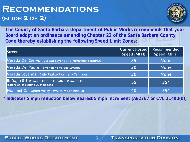## **Recommendations (slide 2 of 2)**



**The County of Santa Barbara Department of Public Works recommends that your Board adopt an ordinance amending Chapter 23 of the Santa Barbara County Code thereby establishing the following Speed Limit Zones:**

| lStreet                                                                                    | Current Posted <br>Speed (MPH) | Recommended<br>Speed (MPH) |
|--------------------------------------------------------------------------------------------|--------------------------------|----------------------------|
| Vereda Del Ciervo - Vereda Leyenda to Northerly Terminus                                   | 35                             | <b>None</b>                |
| Vereda Del Padre - Farren Rd to Vereda Leyenda                                             | 30                             | <u>None </u>               |
| Vereda Leyenda - Calle Real to Northerly Terminus                                          | 30                             | <b>None</b>                |
| Refugio Rd - Redondo Ct to 450' south of Redondo Ct<br>(extension of existing 35 mph zone) | 55                             | $35*$                      |
| Hummel Dr - Union Valley Pkwy to Mooncrest Ln                                              | 40                             | $35*$                      |

**\* Indicates 5 mph reduction below nearest 5 mph increment (AB2767 or CVC 21400(b))**